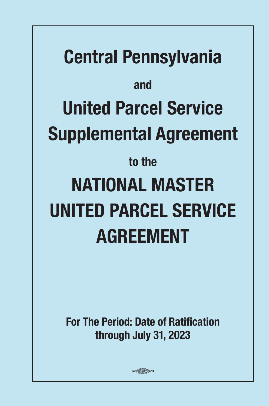# **Central Pennsylvania and United Parcel Service Supplemental Agreement to the NATIONAL MASTER UNITED PARCEL SERVICE AGREEMENT**

**For The Period: Date of Ratification through July 31, 2023**

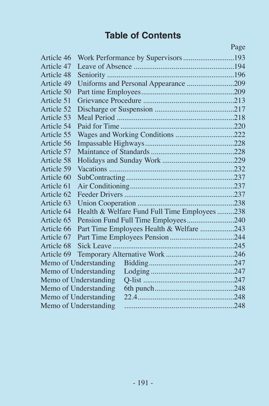### **Table of Contents**

|            |                                              | Page |
|------------|----------------------------------------------|------|
| Article 46 | Work Performance by Supervisors193           |      |
| Article 47 |                                              |      |
| Article 48 |                                              |      |
| Article 49 | Uniforms and Personal Appearance 209         |      |
| Article 50 |                                              |      |
| Article 51 |                                              |      |
| Article 52 |                                              |      |
| Article 53 |                                              |      |
| Article 54 |                                              |      |
| Article 55 | Wages and Working Conditions 222             |      |
| Article 56 |                                              |      |
| Article 57 |                                              |      |
| Article 58 |                                              |      |
| Article 59 |                                              |      |
| Article 60 |                                              |      |
| Article 61 |                                              |      |
| Article 62 |                                              |      |
| Article 63 |                                              |      |
| Article 64 | Health & Welfare Fund Full Time Employees238 |      |
| Article 65 | Pension Fund Full Time Employees240          |      |
| Article 66 | Part Time Employees Health & Welfare 243     |      |
| Article 67 |                                              |      |
| Article 68 |                                              |      |
| Article 69 |                                              |      |
|            | Memo of Understanding                        |      |
|            | Memo of Understanding                        |      |
|            | Memo of Understanding                        |      |
|            | Memo of Understanding                        |      |
|            | Memo of Understanding                        |      |
|            | Memo of Understanding                        |      |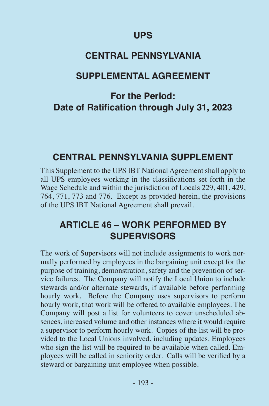#### **UPS**

### **CENTRAL PENNSYLVANIA**

#### **SUPPLEMENTAL AGREEMENT**

### **For the Period: Date of Ratification through July 31, 2023**

### **CENTRAL PENNSYLVANIA SUPPLEMENT**

This Supplement to the UPS IBT National Agreement shall apply to all UPS employees working in the classifications set forth in the Wage Schedule and within the jurisdiction of Locals 229, 401, 429, 764, 771, 773 and 776. Except as provided herein, the provisions of the UPS IBT National Agreement shall prevail.

### **ARTICLE 46 – WORK PERFORMED BY SUPERVISORS**

The work of Supervisors will not include assignments to work normally performed by employees in the bargaining unit except for the purpose of training, demonstration, safety and the prevention of service failures. The Company will notify the Local Union to include stewards and/or alternate stewards, if available before performing hourly work. Before the Company uses supervisors to perform hourly work, that work will be offered to available employees. The Company will post a list for volunteers to cover unscheduled absences, increased volume and other instances where it would require a supervisor to perform hourly work. Copies of the list will be provided to the Local Unions involved, including updates. Employees who sign the list will be required to be available when called. Employees will be called in seniority order. Calls will be verified by a steward or bargaining unit employee when possible.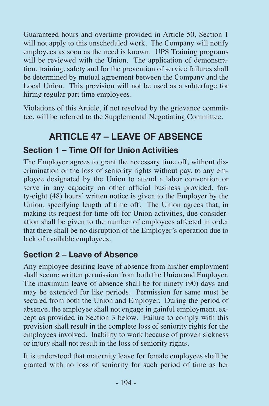Guaranteed hours and overtime provided in Article 50, Section 1 will not apply to this unscheduled work. The Company will notify employees as soon as the need is known. UPS Training programs will be reviewed with the Union. The application of demonstration, training, safety and for the prevention of service failures shall be determined by mutual agreement between the Company and the Local Union. This provision will not be used as a subterfuge for hiring regular part time employees.

Violations of this Article, if not resolved by the grievance committee, will be referred to the Supplemental Negotiating Committee.

### **ARTICLE 47 – LEAVE OF ABSENCE**

#### **Section 1 – Time Off for Union Activities**

The Employer agrees to grant the necessary time off, without discrimination or the loss of seniority rights without pay, to any employee designated by the Union to attend a labor convention or serve in any capacity on other official business provided, forty-eight (48) hours' written notice is given to the Employer by the Union, specifying length of time off. The Union agrees that, in making its request for time off for Union activities, due consideration shall be given to the number of employees affected in order that there shall be no disruption of the Employer's operation due to lack of available employees.

#### **Section 2 – Leave of Absence**

Any employee desiring leave of absence from his/her employment shall secure written permission from both the Union and Employer. The maximum leave of absence shall be for ninety (90) days and may be extended for like periods. Permission for same must be secured from both the Union and Employer. During the period of absence, the employee shall not engage in gainful employment, except as provided in Section 3 below. Failure to comply with this provision shall result in the complete loss of seniority rights for the employees involved. Inability to work because of proven sickness or injury shall not result in the loss of seniority rights.

It is understood that maternity leave for female employees shall be granted with no loss of seniority for such period of time as her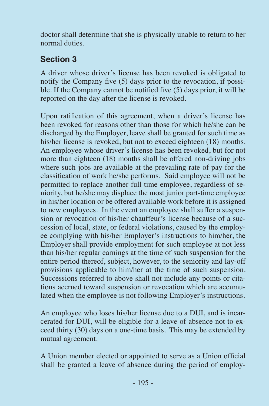doctor shall determine that she is physically unable to return to her normal duties.

### **Section 3**

A driver whose driver's license has been revoked is obligated to notify the Company five (5) days prior to the revocation, if possible. If the Company cannot be notified five (5) days prior, it will be reported on the day after the license is revoked.

Upon ratification of this agreement, when a driver's license has been revoked for reasons other than those for which he/she can be discharged by the Employer, leave shall be granted for such time as his/her license is revoked, but not to exceed eighteen (18) months. An employee whose driver's license has been revoked, but for not more than eighteen (18) months shall be offered non-driving jobs where such jobs are available at the prevailing rate of pay for the classification of work he/she performs. Said employee will not be permitted to replace another full time employee, regardless of seniority, but he/she may displace the most junior part-time employee in his/her location or be offered available work before it is assigned to new employees. In the event an employee shall suffer a suspension or revocation of his/her chauffeur's license because of a succession of local, state, or federal violations, caused by the employee complying with his/her Employer's instructions to him/her, the Employer shall provide employment for such employee at not less than his/her regular earnings at the time of such suspension for the entire period thereof, subject, however, to the seniority and lay-off provisions applicable to him/her at the time of such suspension. Successions referred to above shall not include any points or citations accrued toward suspension or revocation which are accumulated when the employee is not following Employer's instructions.

An employee who loses his/her license due to a DUI, and is incarcerated for DUI, will be eligible for a leave of absence not to exceed thirty (30) days on a one-time basis. This may be extended by mutual agreement.

A Union member elected or appointed to serve as a Union official shall be granted a leave of absence during the period of employ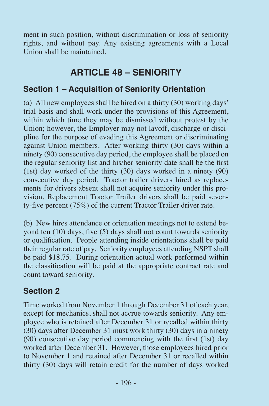ment in such position, without discrimination or loss of seniority rights, and without pay. Any existing agreements with a Local Union shall be maintained.

### **ARTICLE 48 – SENIORITY**

#### **Section 1 – Acquisition of Seniority Orientation**

(a) All new employees shall be hired on a thirty (30) working days' trial basis and shall work under the provisions of this Agreement, within which time they may be dismissed without protest by the Union; however, the Employer may not layoff, discharge or discipline for the purpose of evading this Agreement or discriminating against Union members. After working thirty (30) days within a ninety (90) consecutive day period, the employee shall be placed on the regular seniority list and his/her seniority date shall be the first (1st) day worked of the thirty (30) days worked in a ninety (90) consecutive day period. Tractor trailer drivers hired as replacements for drivers absent shall not acquire seniority under this provision. Replacement Tractor Trailer drivers shall be paid seventy-five percent (75%) of the current Tractor Trailer driver rate.

(b) New hires attendance or orientation meetings not to extend beyond ten (10) days, five (5) days shall not count towards seniority or qualification. People attending inside orientations shall be paid their regular rate of pay. Seniority employees attending NSPT shall be paid \$18.75. During orientation actual work performed within the classification will be paid at the appropriate contract rate and count toward seniority.

#### **Section 2**

Time worked from November 1 through December 31 of each year, except for mechanics, shall not accrue towards seniority. Any employee who is retained after December 31 or recalled within thirty (30) days after December 31 must work thirty (30) days in a ninety (90) consecutive day period commencing with the first (1st) day worked after December 31. However, those employees hired prior to November 1 and retained after December 31 or recalled within thirty (30) days will retain credit for the number of days worked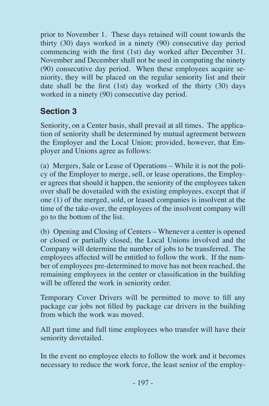prior to November 1. These days retained will count towards the thirty (30) days worked in a ninety (90) consecutive day period commencing with the first (1st) day worked after December 31. November and December shall not be used in computing the ninety (90) consecutive day period. When these employees acquire seniority, they will be placed on the regular seniority list and their date shall be the first (1st) day worked of the thirty (30) days worked in a ninety (90) consecutive day period.

### **Section 3**

Seniority, on a Center basis, shall prevail at all times. The application of seniority shall be determined by mutual agreement between the Employer and the Local Union; provided, however, that Employer and Unions agree as follows:

(a) Mergers, Sale or Lease of Operations – While it is not the policy of the Employer to merge, sell, or lease operations, the Employer agrees that should it happen, the seniority of the employees taken over shall be dovetailed with the existing employees, except that if one (1) of the merged, sold, or leased companies is insolvent at the time of the take-over, the employees of the insolvent company will go to the bottom of the list.

(b) Opening and Closing of Centers – Whenever a center is opened or closed or partially closed, the Local Unions involved and the Company will determine the number of jobs to be transferred. The employees affected will be entitled to follow the work. If the number of employees pre-determined to move has not been reached, the remaining employees in the center or classification in the building will be offered the work in seniority order.

Temporary Cover Drivers will be permitted to move to fill any package car jobs not filled by package car drivers in the building from which the work was moved.

All part time and full time employees who transfer will have their seniority dovetailed.

In the event no employee elects to follow the work and it becomes necessary to reduce the work force, the least senior of the employ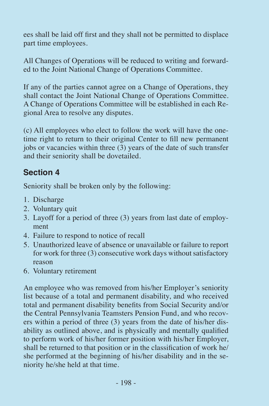ees shall be laid off first and they shall not be permitted to displace part time employees.

All Changes of Operations will be reduced to writing and forwarded to the Joint National Change of Operations Committee.

If any of the parties cannot agree on a Change of Operations, they shall contact the Joint National Change of Operations Committee. A Change of Operations Committee will be established in each Regional Area to resolve any disputes.

(c) All employees who elect to follow the work will have the onetime right to return to their original Center to fill new permanent jobs or vacancies within three (3) years of the date of such transfer and their seniority shall be dovetailed.

### **Section 4**

Seniority shall be broken only by the following:

- 1. Discharge
- 2. Voluntary quit
- 3. Layoff for a period of three (3) years from last date of employment
- 4. Failure to respond to notice of recall
- 5. Unauthorized leave of absence or unavailable or failure to report for work for three (3) consecutive work days without satisfactory reason
- 6. Voluntary retirement

An employee who was removed from his/her Employer's seniority list because of a total and permanent disability, and who received total and permanent disability benefits from Social Security and/or the Central Pennsylvania Teamsters Pension Fund, and who recovers within a period of three (3) years from the date of his/her disability as outlined above, and is physically and mentally qualified to perform work of his/her former position with his/her Employer, shall be returned to that position or in the classification of work he/ she performed at the beginning of his/her disability and in the seniority he/she held at that time.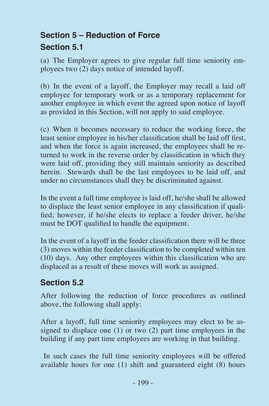### **Section 5 – Reduction of Force Section 5.1**

(a) The Employer agrees to give regular full time seniority employees two (2) days notice of intended layoff.

(b) In the event of a layoff, the Employer may recall a laid off employee for temporary work or as a temporary replacement for another employee in which event the agreed upon notice of layoff as provided in this Section, will not apply to said employee.

(c) When it becomes necessary to reduce the working force, the least senior employee in his/her classification shall be laid off first, and when the force is again increased, the employees shall be returned to work in the reverse order by classification in which they were laid off, providing they still maintain seniority as described herein. Stewards shall be the last employees to be laid off, and under no circumstances shall they be discriminated against.

In the event a full time employee is laid off, he/she shall be allowed to displace the least senior employee in any classification if qualified; however, if he/she elects to replace a feeder driver, he/she must be DOT qualified to handle the equipment.

In the event of a layoff in the feeder classification there will be three (3) moves within the feeder classification to be completed within ten (10) days. Any other employees within this classification who are displaced as a result of these moves will work as assigned.

#### **Section 5.2**

After following the reduction of force procedures as outlined above, the following shall apply:

After a layoff, full time seniority employees may elect to be assigned to displace one (1) or two (2) part time employees in the building if any part time employees are working in that building.

 In such cases the full time seniority employees will be offered available hours for one (1) shift and guaranteed eight (8) hours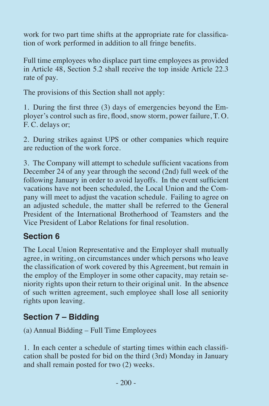work for two part time shifts at the appropriate rate for classification of work performed in addition to all fringe benefits.

Full time employees who displace part time employees as provided in Article 48, Section 5.2 shall receive the top inside Article 22.3 rate of pay.

The provisions of this Section shall not apply:

1. During the first three (3) days of emergencies beyond the Employer's control such as fire, flood, snow storm, power failure, T. O. F. C. delays or;

2. During strikes against UPS or other companies which require are reduction of the work force.

3. The Company will attempt to schedule sufficient vacations from December 24 of any year through the second (2nd) full week of the following January in order to avoid layoffs. In the event sufficient vacations have not been scheduled, the Local Union and the Company will meet to adjust the vacation schedule. Failing to agree on an adjusted schedule, the matter shall be referred to the General President of the International Brotherhood of Teamsters and the Vice President of Labor Relations for final resolution.

### **Section 6**

The Local Union Representative and the Employer shall mutually agree, in writing, on circumstances under which persons who leave the classification of work covered by this Agreement, but remain in the employ of the Employer in some other capacity, may retain seniority rights upon their return to their original unit. In the absence of such written agreement, such employee shall lose all seniority rights upon leaving.

### **Section 7 – Bidding**

(a) Annual Bidding – Full Time Employees

1. In each center a schedule of starting times within each classification shall be posted for bid on the third (3rd) Monday in January and shall remain posted for two (2) weeks.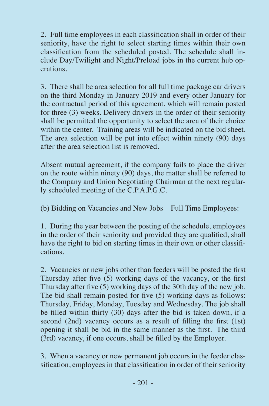2. Full time employees in each classification shall in order of their seniority, have the right to select starting times within their own classification from the scheduled posted. The schedule shall include Day/Twilight and Night/Preload jobs in the current hub operations.

3. There shall be area selection for all full time package car drivers on the third Monday in January 2019 and every other January for the contractual period of this agreement, which will remain posted for three (3) weeks. Delivery drivers in the order of their seniority shall be permitted the opportunity to select the area of their choice within the center. Training areas will be indicated on the bid sheet. The area selection will be put into effect within ninety (90) days after the area selection list is removed.

Absent mutual agreement, if the company fails to place the driver on the route within ninety (90) days, the matter shall be referred to the Company and Union Negotiating Chairman at the next regularly scheduled meeting of the C.P.A.P.G.C.

(b) Bidding on Vacancies and New Jobs – Full Time Employees:

1. During the year between the posting of the schedule, employees in the order of their seniority and provided they are qualified, shall have the right to bid on starting times in their own or other classifications.

2. Vacancies or new jobs other than feeders will be posted the first Thursday after five (5) working days of the vacancy, or the first Thursday after five (5) working days of the 30th day of the new job. The bid shall remain posted for five (5) working days as follows: Thursday, Friday, Monday, Tuesday and Wednesday. The job shall be filled within thirty (30) days after the bid is taken down, if a second (2nd) vacancy occurs as a result of filling the first (1st) opening it shall be bid in the same manner as the first. The third (3rd) vacancy, if one occurs, shall be filled by the Employer.

3. When a vacancy or new permanent job occurs in the feeder classification, employees in that classification in order of their seniority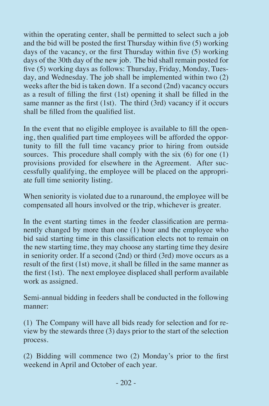within the operating center, shall be permitted to select such a job and the bid will be posted the first Thursday within five (5) working days of the vacancy, or the first Thursday within five (5) working days of the 30th day of the new job. The bid shall remain posted for five (5) working days as follows: Thursday, Friday, Monday, Tuesday, and Wednesday. The job shall be implemented within two (2) weeks after the bid is taken down. If a second (2nd) vacancy occurs as a result of filling the first (1st) opening it shall be filled in the same manner as the first (1st). The third (3rd) vacancy if it occurs shall be filled from the qualified list.

In the event that no eligible employee is available to fill the opening, then qualified part time employees will be afforded the opportunity to fill the full time vacancy prior to hiring from outside sources. This procedure shall comply with the six  $(6)$  for one  $(1)$ provisions provided for elsewhere in the Agreement. After successfully qualifying, the employee will be placed on the appropriate full time seniority listing.

When seniority is violated due to a runaround, the employee will be compensated all hours involved or the trip, whichever is greater.

In the event starting times in the feeder classification are permanently changed by more than one (1) hour and the employee who bid said starting time in this classification elects not to remain on the new starting time, they may choose any starting time they desire in seniority order. If a second (2nd) or third (3rd) move occurs as a result of the first (1st) move, it shall be filled in the same manner as the first (1st). The next employee displaced shall perform available work as assigned.

Semi-annual bidding in feeders shall be conducted in the following manner:

(1) The Company will have all bids ready for selection and for review by the stewards three (3) days prior to the start of the selection process.

(2) Bidding will commence two (2) Monday's prior to the first weekend in April and October of each year.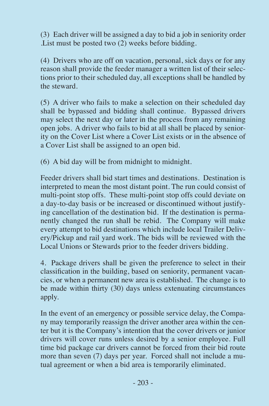(3) Each driver will be assigned a day to bid a job in seniority order .List must be posted two (2) weeks before bidding.

(4) Drivers who are off on vacation, personal, sick days or for any reason shall provide the feeder manager a written list of their selections prior to their scheduled day, all exceptions shall be handled by the steward.

(5) A driver who fails to make a selection on their scheduled day shall be bypassed and bidding shall continue. Bypassed drivers may select the next day or later in the process from any remaining open jobs. A driver who fails to bid at all shall be placed by seniority on the Cover List where a Cover List exists or in the absence of a Cover List shall be assigned to an open bid.

(6) A bid day will be from midnight to midnight.

Feeder drivers shall bid start times and destinations. Destination is interpreted to mean the most distant point. The run could consist of multi-point stop offs. These multi-point stop offs could deviate on a day-to-day basis or be increased or discontinued without justifying cancellation of the destination bid. If the destination is permanently changed the run shall be rebid. The Company will make every attempt to bid destinations which include local Trailer Delivery/Pickup and rail yard work. The bids will be reviewed with the Local Unions or Stewards prior to the feeder drivers bidding.

4. Package drivers shall be given the preference to select in their classification in the building, based on seniority, permanent vacancies, or when a permanent new area is established. The change is to be made within thirty (30) days unless extenuating circumstances apply.

In the event of an emergency or possible service delay, the Company may temporarily reassign the driver another area within the center but it is the Company's intention that the cover drivers or junior drivers will cover runs unless desired by a senior employee. Full time bid package car drivers cannot be forced from their bid route more than seven (7) days per year. Forced shall not include a mutual agreement or when a bid area is temporarily eliminated.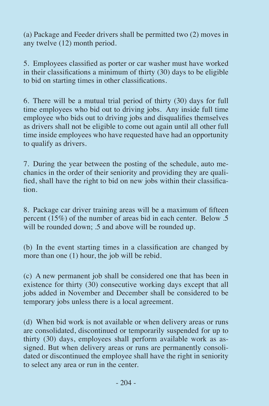(a) Package and Feeder drivers shall be permitted two (2) moves in any twelve (12) month period.

5. Employees classified as porter or car washer must have worked in their classifications a minimum of thirty (30) days to be eligible to bid on starting times in other classifications.

6. There will be a mutual trial period of thirty (30) days for full time employees who bid out to driving jobs. Any inside full time employee who bids out to driving jobs and disqualifies themselves as drivers shall not be eligible to come out again until all other full time inside employees who have requested have had an opportunity to qualify as drivers.

7. During the year between the posting of the schedule, auto mechanics in the order of their seniority and providing they are qualified, shall have the right to bid on new jobs within their classification.

8. Package car driver training areas will be a maximum of fifteen percent (15%) of the number of areas bid in each center. Below .5 will be rounded down; .5 and above will be rounded up.

(b) In the event starting times in a classification are changed by more than one (1) hour, the job will be rebid.

(c) A new permanent job shall be considered one that has been in existence for thirty (30) consecutive working days except that all jobs added in November and December shall be considered to be temporary jobs unless there is a local agreement.

(d) When bid work is not available or when delivery areas or runs are consolidated, discontinued or temporarily suspended for up to thirty (30) days, employees shall perform available work as assigned. But when delivery areas or runs are permanently consolidated or discontinued the employee shall have the right in seniority to select any area or run in the center.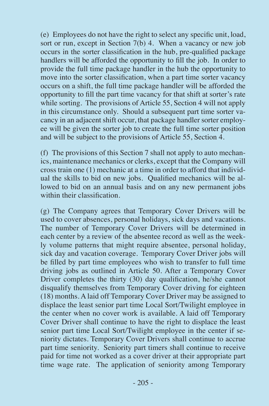(e) Employees do not have the right to select any specific unit, load, sort or run, except in Section  $7(b)$  4. When a vacancy or new job occurs in the sorter classification in the hub, pre-qualified package handlers will be afforded the opportunity to fill the job. In order to provide the full time package handler in the hub the opportunity to move into the sorter classification, when a part time sorter vacancy occurs on a shift, the full time package handler will be afforded the opportunity to fill the part time vacancy for that shift at sorter's rate while sorting. The provisions of Article 55, Section 4 will not apply in this circumstance only. Should a subsequent part time sorter vacancy in an adjacent shift occur, that package handler sorter employee will be given the sorter job to create the full time sorter position and will be subject to the provisions of Article 55, Section  $\overline{4}$ .

(f) The provisions of this Section 7 shall not apply to auto mechanics, maintenance mechanics or clerks, except that the Company will cross train one (1) mechanic at a time in order to afford that individual the skills to bid on new jobs. Qualified mechanics will be allowed to bid on an annual basis and on any new permanent jobs within their classification.

(g) The Company agrees that Temporary Cover Drivers will be used to cover absences, personal holidays, sick days and vacations. The number of Temporary Cover Drivers will be determined in each center by a review of the absentee record as well as the weekly volume patterns that might require absentee, personal holiday, sick day and vacation coverage. Temporary Cover Driver jobs will be filled by part time employees who wish to transfer to full time driving jobs as outlined in Article 50. After a Temporary Cover Driver completes the thirty (30) day qualification, he/she cannot disqualify themselves from Temporary Cover driving for eighteen (18) months. A laid off Temporary Cover Driver may be assigned to displace the least senior part time Local Sort/Twilight employee in the center when no cover work is available. A laid off Temporary Cover Driver shall continue to have the right to displace the least senior part time Local Sort/Twilight employee in the center if seniority dictates. Temporary Cover Drivers shall continue to accrue part time seniority. Seniority part timers shall continue to receive paid for time not worked as a cover driver at their appropriate part time wage rate. The application of seniority among Temporary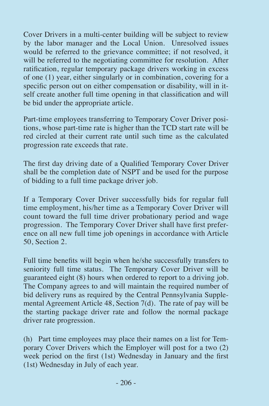Cover Drivers in a multi-center building will be subject to review by the labor manager and the Local Union. Unresolved issues would be referred to the grievance committee; if not resolved, it will be referred to the negotiating committee for resolution. After ratification, regular temporary package drivers working in excess of one (1) year, either singularly or in combination, covering for a specific person out on either compensation or disability, will in itself create another full time opening in that classification and will be bid under the appropriate article.

Part-time employees transferring to Temporary Cover Driver positions, whose part-time rate is higher than the TCD start rate will be red circled at their current rate until such time as the calculated progression rate exceeds that rate.

The first day driving date of a Qualified Temporary Cover Driver shall be the completion date of NSPT and be used for the purpose of bidding to a full time package driver job.

If a Temporary Cover Driver successfully bids for regular full time employment, his/her time as a Temporary Cover Driver will count toward the full time driver probationary period and wage progression. The Temporary Cover Driver shall have first preference on all new full time job openings in accordance with Article 50, Section 2.

Full time benefits will begin when he/she successfully transfers to seniority full time status. The Temporary Cover Driver will be guaranteed eight (8) hours when ordered to report to a driving job. The Company agrees to and will maintain the required number of bid delivery runs as required by the Central Pennsylvania Supplemental Agreement Article 48, Section 7(d). The rate of pay will be the starting package driver rate and follow the normal package driver rate progression.

(h) Part time employees may place their names on a list for Temporary Cover Drivers which the Employer will post for a two (2) week period on the first (1st) Wednesday in January and the first (1st) Wednesday in July of each year.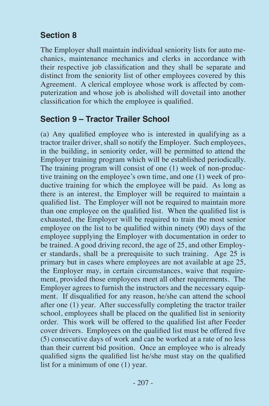### **Section 8**

The Employer shall maintain individual seniority lists for auto mechanics, maintenance mechanics and clerks in accordance with their respective job classification and they shall be separate and distinct from the seniority list of other employees covered by this Agreement. A clerical employee whose work is affected by computerization and whose job is abolished will dovetail into another classification for which the employee is qualified.

#### **Section 9 – Tractor Trailer School**

(a) Any qualified employee who is interested in qualifying as a tractor trailer driver, shall so notify the Employer. Such employees, in the building, in seniority order, will be permitted to attend the Employer training program which will be established periodically. The training program will consist of one (1) week of non-productive training on the employee's own time, and one (1) week of productive training for which the employee will be paid. As long as there is an interest, the Employer will be required to maintain a qualified list. The Employer will not be required to maintain more than one employee on the qualified list. When the qualified list is exhausted, the Employer will be required to train the most senior employee on the list to be qualified within ninety (90) days of the employee supplying the Employer with documentation in order to be trained. A good driving record, the age of 25, and other Employer standards, shall be a prerequisite to such training. Age 25 is primary but in cases where employees are not available at age 25, the Employer may, in certain circumstances, waive that requirement, provided those employees meet all other requirements. The Employer agrees to furnish the instructors and the necessary equipment. If disqualified for any reason, he/she can attend the school after one (1) year. After successfully completing the tractor trailer school, employees shall be placed on the qualified list in seniority order. This work will be offered to the qualified list after Feeder cover drivers. Employees on the qualified list must be offered five (5) consecutive days of work and can be worked at a rate of no less than their current bid position. Once an employee who is already qualified signs the qualified list he/she must stay on the qualified list for a minimum of one (1) year.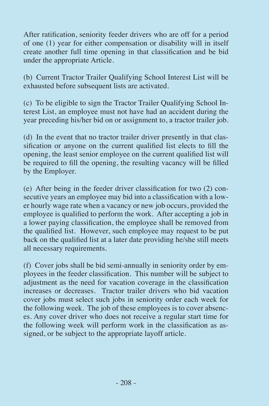After ratification, seniority feeder drivers who are off for a period of one (1) year for either compensation or disability will in itself create another full time opening in that classification and be bid under the appropriate Article.

(b) Current Tractor Trailer Qualifying School Interest List will be exhausted before subsequent lists are activated.

(c) To be eligible to sign the Tractor Trailer Qualifying School Interest List, an employee must not have had an accident during the year preceding his/her bid on or assignment to, a tractor trailer job.

(d) In the event that no tractor trailer driver presently in that clas $s$ ification or anyone on the current qualified list elects to fill the opening, the least senior employee on the current qualified list will be required to fill the opening, the resulting vacancy will be filled by the Employer.

(e) After being in the feeder driver classification for two (2) consecutive years an employee may bid into a classification with a lower hourly wage rate when a vacancy or new job occurs, provided the employee is qualified to perform the work. After accepting a job in a lower paying classification, the employee shall be removed from the qualified list. However, such employee may request to be put back on the qualified list at a later date providing he/she still meets all necessary requirements.

(f) Cover jobs shall be bid semi-annually in seniority order by employees in the feeder classification. This number will be subject to adjustment as the need for vacation coverage in the classification increases or decreases. Tractor trailer drivers who bid vacation cover jobs must select such jobs in seniority order each week for the following week. The job of these employees is to cover absences. Any cover driver who does not receive a regular start time for the following week will perform work in the classification as assigned, or be subject to the appropriate layoff article.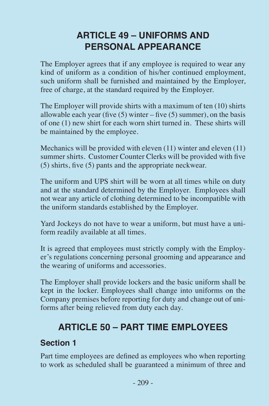### **ARTICLE 49 – UNIFORMS AND PERSONAL APPEARANCE**

The Employer agrees that if any employee is required to wear any kind of uniform as a condition of his/her continued employment, such uniform shall be furnished and maintained by the Employer, free of charge, at the standard required by the Employer.

The Employer will provide shirts with a maximum of ten (10) shirts allowable each year (five  $(5)$  winter – five  $(5)$  summer), on the basis of one (1) new shirt for each worn shirt turned in. These shirts will be maintained by the employee.

Mechanics will be provided with eleven (11) winter and eleven (11) summer shirts. Customer Counter Clerks will be provided with five (5) shirts, five (5) pants and the appropriate neckwear.

The uniform and UPS shirt will be worn at all times while on duty and at the standard determined by the Employer. Employees shall not wear any article of clothing determined to be incompatible with the uniform standards established by the Employer.

Yard Jockeys do not have to wear a uniform, but must have a uniform readily available at all times.

It is agreed that employees must strictly comply with the Employer's regulations concerning personal grooming and appearance and the wearing of uniforms and accessories.

The Employer shall provide lockers and the basic uniform shall be kept in the locker. Employees shall change into uniforms on the Company premises before reporting for duty and change out of uniforms after being relieved from duty each day.

### **ARTICLE 50 – PART TIME EMPLOYEES**

#### **Section 1**

Part time employees are defined as employees who when reporting to work as scheduled shall be guaranteed a minimum of three and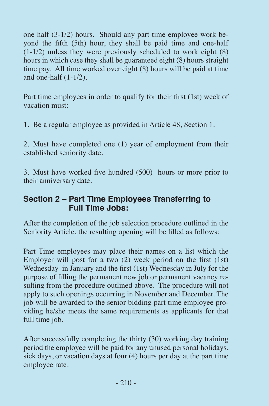one half (3-1/2) hours. Should any part time employee work beyond the fifth (5th) hour, they shall be paid time and one-half  $(1-1/2)$  unless they were previously scheduled to work eight  $(8)$ hours in which case they shall be guaranteed eight (8) hours straight time pay. All time worked over eight (8) hours will be paid at time and one-half (1-1/2).

Part time employees in order to qualify for their first (1st) week of vacation must:

1. Be a regular employee as provided in Article 48, Section 1.

2. Must have completed one (1) year of employment from their established seniority date.

3. Must have worked five hundred (500) hours or more prior to their anniversary date.

#### **Section 2 – Part Time Employees Transferring to Full Time Jobs:**

After the completion of the job selection procedure outlined in the Seniority Article, the resulting opening will be filled as follows:

Part Time employees may place their names on a list which the Employer will post for a two (2) week period on the first (1st) Wednesday in January and the first (1st) Wednesday in July for the purpose of filling the permanent new job or permanent vacancy resulting from the procedure outlined above. The procedure will not apply to such openings occurring in November and December. The job will be awarded to the senior bidding part time employee providing he/she meets the same requirements as applicants for that full time job.

After successfully completing the thirty (30) working day training period the employee will be paid for any unused personal holidays, sick days, or vacation days at four (4) hours per day at the part time employee rate.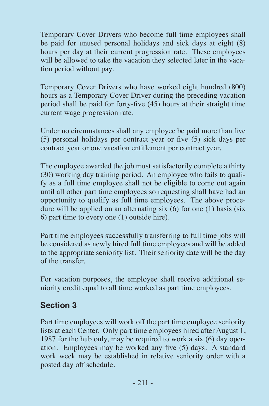Temporary Cover Drivers who become full time employees shall be paid for unused personal holidays and sick days at eight (8) hours per day at their current progression rate. These employees will be allowed to take the vacation they selected later in the vacation period without pay.

Temporary Cover Drivers who have worked eight hundred (800) hours as a Temporary Cover Driver during the preceding vacation period shall be paid for forty-five (45) hours at their straight time current wage progression rate.

Under no circumstances shall any employee be paid more than five (5) personal holidays per contract year or five (5) sick days per contract year or one vacation entitlement per contract year.

The employee awarded the job must satisfactorily complete a thirty (30) working day training period. An employee who fails to qualify as a full time employee shall not be eligible to come out again until all other part time employees so requesting shall have had an opportunity to qualify as full time employees. The above procedure will be applied on an alternating six (6) for one (1) basis (six 6) part time to every one (1) outside hire).

Part time employees successfully transferring to full time jobs will be considered as newly hired full time employees and will be added to the appropriate seniority list. Their seniority date will be the day of the transfer.

For vacation purposes, the employee shall receive additional seniority credit equal to all time worked as part time employees.

### **Section 3**

Part time employees will work off the part time employee seniority lists at each Center. Only part time employees hired after August 1, 1987 for the hub only, may be required to work a six (6) day operation. Employees may be worked any five (5) days. A standard work week may be established in relative seniority order with a posted day off schedule.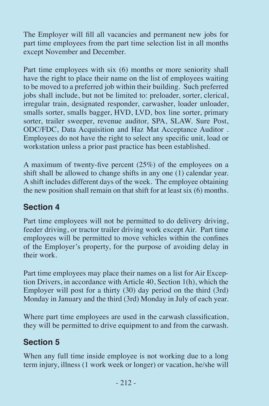The Employer will fill all vacancies and permanent new jobs for part time employees from the part time selection list in all months except November and December.

Part time employees with six (6) months or more seniority shall have the right to place their name on the list of employees waiting to be moved to a preferred job within their building. Such preferred jobs shall include, but not be limited to: preloader, sorter, clerical, irregular train, designated responder, carwasher, loader unloader, smalls sorter, smalls bagger, HVD, LVD, box line sorter, primary sorter, trailer sweeper, revenue auditor, SPA, SLAW. Sure Post, ODC/FDC, Data Acquisition and Haz Mat Acceptance Auditor . Employees do not have the right to select any specific unit, load or workstation unless a prior past practice has been established.

A maximum of twenty-five percent (25%) of the employees on a shift shall be allowed to change shifts in any one (1) calendar year. A shift includes different days of the week. The employee obtaining the new position shall remain on that shift for at least six (6) months.

### **Section 4**

Part time employees will not be permitted to do delivery driving, feeder driving, or tractor trailer driving work except Air. Part time employees will be permitted to move vehicles within the confines of the Employer's property, for the purpose of avoiding delay in their work.

Part time employees may place their names on a list for Air Exception Drivers, in accordance with Article 40, Section 1(h), which the Employer will post for a thirty (30) day period on the third (3rd) Monday in January and the third (3rd) Monday in July of each year.

Where part time employees are used in the carwash classification, they will be permitted to drive equipment to and from the carwash.

### **Section 5**

When any full time inside employee is not working due to a long term injury, illness (1 work week or longer) or vacation, he/she will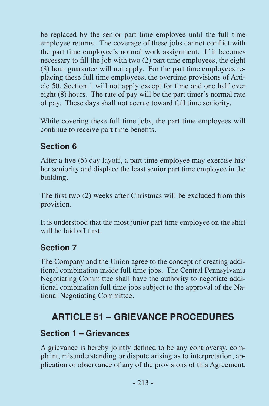be replaced by the senior part time employee until the full time employee returns. The coverage of these jobs cannot conflict with the part time employee's normal work assignment. If it becomes necessary to fill the job with two (2) part time employees, the eight (8) hour guarantee will not apply. For the part time employees replacing these full time employees, the overtime provisions of Article 50, Section 1 will not apply except for time and one half over eight (8) hours. The rate of pay will be the part timer's normal rate of pay. These days shall not accrue toward full time seniority.

While covering these full time jobs, the part time employees will continue to receive part time benefits.

### **Section 6**

After a five (5) day layoff, a part time employee may exercise his/ her seniority and displace the least senior part time employee in the building.

The first two (2) weeks after Christmas will be excluded from this provision.

It is understood that the most junior part time employee on the shift will be laid off first.

### **Section 7**

The Company and the Union agree to the concept of creating additional combination inside full time jobs. The Central Pennsylvania Negotiating Committee shall have the authority to negotiate additional combination full time jobs subject to the approval of the National Negotiating Committee.

### **ARTICLE 51 – GRIEVANCE PROCEDURES**

### **Section 1 – Grievances**

A grievance is hereby jointly defined to be any controversy, complaint, misunderstanding or dispute arising as to interpretation, application or observance of any of the provisions of this Agreement.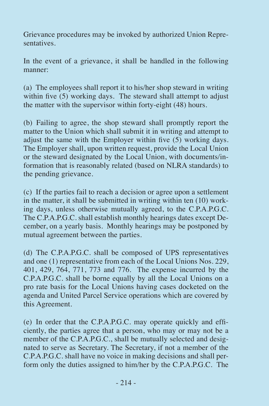Grievance procedures may be invoked by authorized Union Representatives.

In the event of a grievance, it shall be handled in the following manner:

(a) The employees shall report it to his/her shop steward in writing within five (5) working days. The steward shall attempt to adjust the matter with the supervisor within forty-eight (48) hours.

(b) Failing to agree, the shop steward shall promptly report the matter to the Union which shall submit it in writing and attempt to adjust the same with the Employer within five  $(5)$  working days. The Employer shall, upon written request, provide the Local Union or the steward designated by the Local Union, with documents/information that is reasonably related (based on NLRA standards) to the pending grievance.

(c) If the parties fail to reach a decision or agree upon a settlement in the matter, it shall be submitted in writing within ten (10) working days, unless otherwise mutually agreed, to the C.P.A.P.G.C. The C.P.A.P.G.C. shall establish monthly hearings dates except December, on a yearly basis. Monthly hearings may be postponed by mutual agreement between the parties.

(d) The C.P.A.P.G.C. shall be composed of UPS representatives and one (1) representative from each of the Local Unions Nos. 229, 401, 429, 764, 771, 773 and 776. The expense incurred by the C.P.A.P.G.C. shall be borne equally by all the Local Unions on a pro rate basis for the Local Unions having cases docketed on the agenda and United Parcel Service operations which are covered by this Agreement.

(e) In order that the C.P.A.P.G.C. may operate quickly and efficiently, the parties agree that a person, who may or may not be a member of the C.P.A.P.G.C., shall be mutually selected and designated to serve as Secretary. The Secretary, if not a member of the C.P.A.P.G.C. shall have no voice in making decisions and shall perform only the duties assigned to him/her by the C.P.A.P.G.C. The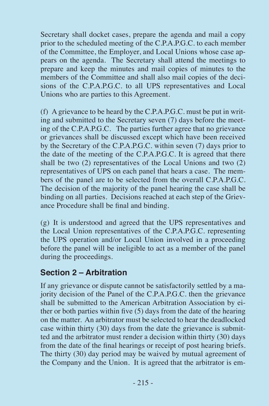Secretary shall docket cases, prepare the agenda and mail a copy prior to the scheduled meeting of the C.P.A.P.G.C. to each member of the Committee, the Employer, and Local Unions whose case appears on the agenda. The Secretary shall attend the meetings to prepare and keep the minutes and mail copies of minutes to the members of the Committee and shall also mail copies of the decisions of the C.P.A.P.G.C. to all UPS representatives and Local Unions who are parties to this Agreement.

(f) A grievance to be heard by the C.P.A.P.G.C. must be put in writing and submitted to the Secretary seven (7) days before the meeting of the C.P.A.P.G.C. The parties further agree that no grievance or grievances shall be discussed except which have been received by the Secretary of the C.P.A.P.G.C. within seven (7) days prior to the date of the meeting of the C.P.A.P.G.C. It is agreed that there shall be two (2) representatives of the Local Unions and two (2) representatives of UPS on each panel that hears a case. The members of the panel are to be selected from the overall C.P.A.P.G.C. The decision of the majority of the panel hearing the case shall be binding on all parties. Decisions reached at each step of the Grievance Procedure shall be final and binding.

(g) It is understood and agreed that the UPS representatives and the Local Union representatives of the C.P.A.P.G.C. representing the UPS operation and/or Local Union involved in a proceeding before the panel will be ineligible to act as a member of the panel during the proceedings.

#### **Section 2 – Arbitration**

If any grievance or dispute cannot be satisfactorily settled by a majority decision of the Panel of the C.P.A.P.G.C. then the grievance shall be submitted to the American Arbitration Association by either or both parties within five (5) days from the date of the hearing on the matter. An arbitrator must be selected to hear the deadlocked case within thirty (30) days from the date the grievance is submitted and the arbitrator must render a decision within thirty (30) days from the date of the final hearings or receipt of post hearing briefs. The thirty (30) day period may be waived by mutual agreement of the Company and the Union. It is agreed that the arbitrator is em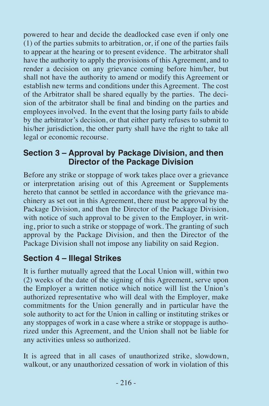powered to hear and decide the deadlocked case even if only one  $(1)$  of the parties submits to arbitration, or, if one of the parties fails to appear at the hearing or to present evidence. The arbitrator shall have the authority to apply the provisions of this Agreement, and to render a decision on any grievance coming before him/her, but shall not have the authority to amend or modify this Agreement or establish new terms and conditions under this Agreement. The cost of the Arbitrator shall be shared equally by the parties. The decision of the arbitrator shall be final and binding on the parties and employees involved. In the event that the losing party fails to abide by the arbitrator's decision, or that either party refuses to submit to his/her jurisdiction, the other party shall have the right to take all legal or economic recourse.

#### **Section 3 – Approval by Package Division, and then Director of the Package Division**

Before any strike or stoppage of work takes place over a grievance or interpretation arising out of this Agreement or Supplements hereto that cannot be settled in accordance with the grievance machinery as set out in this Agreement, there must be approval by the Package Division, and then the Director of the Package Division, with notice of such approval to be given to the Employer, in writing, prior to such a strike or stoppage of work. The granting of such approval by the Package Division, and then the Director of the Package Division shall not impose any liability on said Region.

### **Section 4 – Illegal Strikes**

It is further mutually agreed that the Local Union will, within two (2) weeks of the date of the signing of this Agreement, serve upon the Employer a written notice which notice will list the Union's authorized representative who will deal with the Employer, make commitments for the Union generally and in particular have the sole authority to act for the Union in calling or instituting strikes or any stoppages of work in a case where a strike or stoppage is authorized under this Agreement, and the Union shall not be liable for any activities unless so authorized.

It is agreed that in all cases of unauthorized strike, slowdown, walkout, or any unauthorized cessation of work in violation of this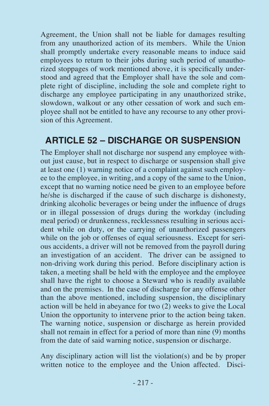Agreement, the Union shall not be liable for damages resulting from any unauthorized action of its members. While the Union shall promptly undertake every reasonable means to induce said employees to return to their jobs during such period of unauthorized stoppages of work mentioned above, it is specifically understood and agreed that the Employer shall have the sole and complete right of discipline, including the sole and complete right to discharge any employee participating in any unauthorized strike, slowdown, walkout or any other cessation of work and such employee shall not be entitled to have any recourse to any other provision of this Agreement.

### **ARTICLE 52 – DISCHARGE OR SUSPENSION**

The Employer shall not discharge nor suspend any employee without just cause, but in respect to discharge or suspension shall give at least one (1) warning notice of a complaint against such employee to the employee, in writing, and a copy of the same to the Union, except that no warning notice need be given to an employee before he/she is discharged if the cause of such discharge is dishonesty, drinking alcoholic beverages or being under the influence of drugs or in illegal possession of drugs during the workday (including meal period) or drunkenness, recklessness resulting in serious accident while on duty, or the carrying of unauthorized passengers while on the job or offenses of equal seriousness. Except for serious accidents, a driver will not be removed from the payroll during an investigation of an accident. The driver can be assigned to non-driving work during this period. Before disciplinary action is taken, a meeting shall be held with the employee and the employee shall have the right to choose a Steward who is readily available and on the premises. In the case of discharge for any offense other than the above mentioned, including suspension, the disciplinary action will be held in abeyance for two (2) weeks to give the Local Union the opportunity to intervene prior to the action being taken. The warning notice, suspension or discharge as herein provided shall not remain in effect for a period of more than nine  $(9)$  months from the date of said warning notice, suspension or discharge.

Any disciplinary action will list the violation(s) and be by proper written notice to the employee and the Union affected. Disci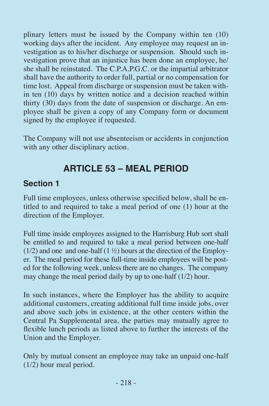plinary letters must be issued by the Company within ten (10) working days after the incident. Any employee may request an investigation as to his/her discharge or suspension. Should such investigation prove that an injustice has been done an employee, he/ she shall be reinstated. The C.P.A.P.G.C. or the impartial arbitrator shall have the authority to order full, partial or no compensation for time lost. Appeal from discharge or suspension must be taken within ten (10) days by written notice and a decision reached within thirty (30) days from the date of suspension or discharge. An employee shall be given a copy of any Company form or document signed by the employee if requested.

The Company will not use absenteeism or accidents in conjunction with any other disciplinary action.

### **ARTICLE 53 – MEAL PERIOD**

#### **Section 1**

Full time employees, unless otherwise specified below, shall be entitled to and required to take a meal period of one (1) hour at the direction of the Employer.

Full time inside employees assigned to the Harrisburg Hub sort shall be entitled to and required to take a meal period between one-half  $(1/2)$  and one and one-half  $(1 \frac{1}{2})$  hours at the direction of the Employer. The meal period for these full-time inside employees will be posted for the following week, unless there are no changes. The company may change the meal period daily by up to one-half (1/2) hour.

In such instances, where the Employer has the ability to acquire additional customers, creating additional full time inside jobs, over and above such jobs in existence, at the other centers within the Central Pa Supplemental area, the parties may mutually agree to flexible lunch periods as listed above to further the interests of the Union and the Employer.

Only by mutual consent an employee may take an unpaid one-half (1/2) hour meal period.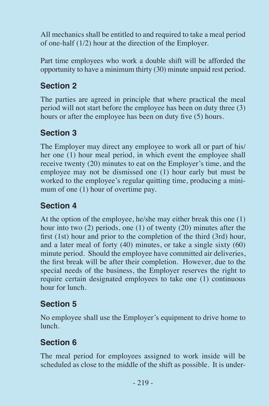All mechanics shall be entitled to and required to take a meal period of one-half (1/2) hour at the direction of the Employer.

Part time employees who work a double shift will be afforded the opportunity to have a minimum thirty (30) minute unpaid rest period.

### **Section 2**

The parties are agreed in principle that where practical the meal period will not start before the employee has been on duty three (3) hours or after the employee has been on duty five (5) hours.

### **Section 3**

The Employer may direct any employee to work all or part of his/ her one (1) hour meal period, in which event the employee shall receive twenty (20) minutes to eat on the Employer's time, and the employee may not be dismissed one (1) hour early but must be worked to the employee's regular quitting time, producing a minimum of one (1) hour of overtime pay.

### **Section 4**

At the option of the employee, he/she may either break this one (1) hour into two (2) periods, one (1) of twenty (20) minutes after the first (1st) hour and prior to the completion of the third (3rd) hour, and a later meal of forty (40) minutes, or take a single sixty (60) minute period. Should the employee have committed air deliveries, the first break will be after their completion. However, due to the special needs of the business, the Employer reserves the right to require certain designated employees to take one (1) continuous hour for lunch.

### **Section 5**

No employee shall use the Employer's equipment to drive home to lunch.

### **Section 6**

The meal period for employees assigned to work inside will be scheduled as close to the middle of the shift as possible. It is under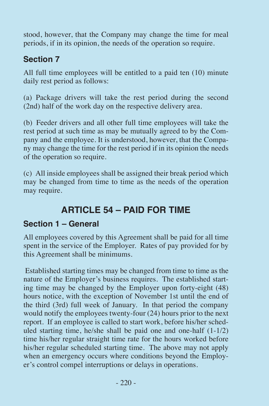stood, however, that the Company may change the time for meal periods, if in its opinion, the needs of the operation so require.

### **Section 7**

All full time employees will be entitled to a paid ten (10) minute daily rest period as follows:

(a) Package drivers will take the rest period during the second (2nd) half of the work day on the respective delivery area.

(b) Feeder drivers and all other full time employees will take the rest period at such time as may be mutually agreed to by the Company and the employee. It is understood, however, that the Company may change the time for the rest period if in its opinion the needs of the operation so require.

(c) All inside employees shall be assigned their break period which may be changed from time to time as the needs of the operation may require.

### **ARTICLE 54 – PAID FOR TIME**

### **Section 1 – General**

All employees covered by this Agreement shall be paid for all time spent in the service of the Employer. Rates of pay provided for by this Agreement shall be minimums.

 Established starting times may be changed from time to time as the nature of the Employer's business requires. The established starting time may be changed by the Employer upon forty-eight (48) hours notice, with the exception of November 1st until the end of the third (3rd) full week of January. In that period the company would notify the employees twenty-four (24) hours prior to the next report. If an employee is called to start work, before his/her scheduled starting time, he/she shall be paid one and one-half (1-1/2) time his/her regular straight time rate for the hours worked before his/her regular scheduled starting time. The above may not apply when an emergency occurs where conditions beyond the Employer's control compel interruptions or delays in operations.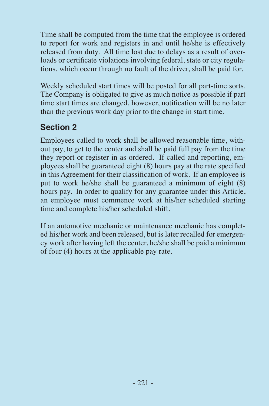Time shall be computed from the time that the employee is ordered to report for work and registers in and until he/she is effectively released from duty. All time lost due to delays as a result of overloads or certificate violations involving federal, state or city regulations, which occur through no fault of the driver, shall be paid for.

Weekly scheduled start times will be posted for all part-time sorts. The Company is obligated to give as much notice as possible if part time start times are changed, however, notification will be no later than the previous work day prior to the change in start time.

### **Section 2**

Employees called to work shall be allowed reasonable time, without pay, to get to the center and shall be paid full pay from the time they report or register in as ordered. If called and reporting, employees shall be guaranteed eight (8) hours pay at the rate specified in this Agreement for their classification of work. If an employee is put to work he/she shall be guaranteed a minimum of eight (8) hours pay. In order to qualify for any guarantee under this Article, an employee must commence work at his/her scheduled starting time and complete his/her scheduled shift.

If an automotive mechanic or maintenance mechanic has completed his/her work and been released, but is later recalled for emergency work after having left the center, he/she shall be paid a minimum of four (4) hours at the applicable pay rate.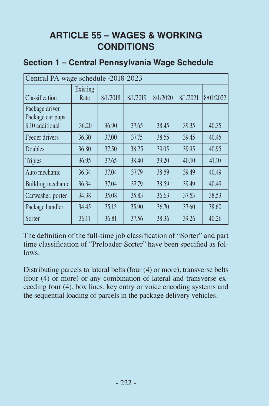### **ARTICLE 55 – WAGES & WORKING CONDITIONS**

| Central PA wage schedule -2018-2023                    |                  |          |          |          |          |           |
|--------------------------------------------------------|------------------|----------|----------|----------|----------|-----------|
| <i>Classification</i>                                  | Existing<br>Rate | 8/1/2018 | 8/1/2019 | 8/1/2020 | 8/1/2021 | 8/01/2022 |
| Package driver<br>Package car pups<br>\$.10 additional | 36.20            | 36.90    | 37.65    | 38.45    | 39.35    | 40.35     |
| Feeder drivers                                         | 36.30            | 37.00    | 37.75    | 38.55    | 39.45    | 40.45     |
| <b>Doubles</b>                                         | 36.80            | 37.50    | 38.25    | 39.05    | 39.95    | 40.95     |
| Triples                                                | 36.95            | 37.65    | 38.40    | 39.20    | 40.10    | 41.10     |
| Auto mechanic                                          | 36.34            | 37.04    | 37.79    | 38.59    | 39.49    | 40.49     |
| Building mechanic                                      | 36.34            | 37.04    | 37.79    | 38.59    | 39.49    | 40.49     |
| Carwasher, porter                                      | 34.38            | 35.08    | 35.83    | 36.63    | 37.53    | 38.53     |
| Package handler                                        | 34.45            | 35.15    | 35.90    | 36.70    | 37.60    | 38.60     |
| <b>Sorter</b>                                          | 36.11            | 36.81    | 37.56    | 38.36    | 39.26    | 40.26     |

#### **Section 1 – Central Pennsylvania Wage Schedule**

The definition of the full-time job classification of "Sorter" and part time classification of "Preloader-Sorter" have been specified as follows:

Distributing parcels to lateral belts (four (4) or more), transverse belts (four (4) or more) or any combination of lateral and transverse exceeding four (4), box lines, key entry or voice encoding systems and the sequential loading of parcels in the package delivery vehicles.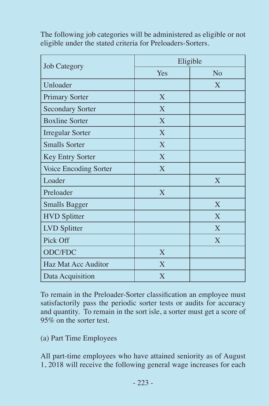| <b>Job Category</b>     | Eligible       |                |  |
|-------------------------|----------------|----------------|--|
|                         | Yes            | N <sub>0</sub> |  |
| Unloader                |                | $\mathbf{X}$   |  |
| <b>Primary Sorter</b>   | X              |                |  |
| <b>Secondary Sorter</b> | X              |                |  |
| <b>Boxline Sorter</b>   | X              |                |  |
| <b>Irregular Sorter</b> | X              |                |  |
| <b>Smalls Sorter</b>    | X              |                |  |
| Key Entry Sorter        | X              |                |  |
| Voice Encoding Sorter   | X              |                |  |
| Loader                  |                | $\mathbf{X}$   |  |
| Preloader               | X              |                |  |
| <b>Smalls Bagger</b>    |                | X              |  |
| <b>HVD</b> Splitter     |                | $\mathbf{X}$   |  |
| LVD Splitter            |                | $\mathbf{X}$   |  |
| Pick Off                |                | $\mathbf{X}$   |  |
| ODC/FDC                 | X              |                |  |
| Haz Mat Acc Auditor     | $\mathbf{X}$   |                |  |
| Data Acquisition        | $\overline{X}$ |                |  |

The following job categories will be administered as eligible or not eligible under the stated criteria for Preloaders-Sorters.

To remain in the Preloader-Sorter classification an employee must satisfactorily pass the periodic sorter tests or audits for accuracy and quantity. To remain in the sort isle, a sorter must get a score of 95% on the sorter test.

(a) Part Time Employees

All part-time employees who have attained seniority as of August 1, 2018 will receive the following general wage increases for each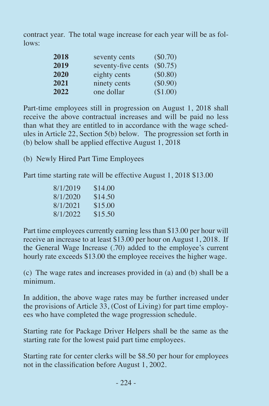contract year. The total wage increase for each year will be as follows:

| 2018 | seventy cents      | (\$0.70)  |
|------|--------------------|-----------|
| 2019 | seventy-five cents | (\$0.75)  |
| 2020 | eighty cents       | ( \$0.80) |
| 2021 | ninety cents       | (\$0.90)  |
| 2022 | one dollar         | (\$1.00)  |

Part-time employees still in progression on August 1, 2018 shall receive the above contractual increases and will be paid no less than what they are entitled to in accordance with the wage schedules in Article 22, Section 5(b) below. The progression set forth in (b) below shall be applied effective August 1, 2018

(b) Newly Hired Part Time Employees

Part time starting rate will be effective August 1, 2018 \$13.00

| 8/1/2019 | \$14.00 |
|----------|---------|
| 8/1/2020 | \$14.50 |
| 8/1/2021 | \$15.00 |
| 8/1/2022 | \$15.50 |

Part time employees currently earning less than \$13.00 per hour will receive an increase to at least \$13.00 per hour on August 1, 2018. If the General Wage Increase (.70) added to the employee's current hourly rate exceeds \$13.00 the employee receives the higher wage.

(c) The wage rates and increases provided in (a) and (b) shall be a minimum.

In addition, the above wage rates may be further increased under the provisions of Article  $33$ , (Cost of Living) for part time employees who have completed the wage progression schedule.

Starting rate for Package Driver Helpers shall be the same as the starting rate for the lowest paid part time employees.

Starting rate for center clerks will be \$8.50 per hour for employees not in the classification before August 1, 2002.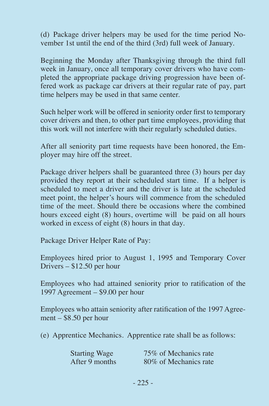(d) Package driver helpers may be used for the time period November 1st until the end of the third (3rd) full week of January.

Beginning the Monday after Thanksgiving through the third full week in January, once all temporary cover drivers who have completed the appropriate package driving progression have been offered work as package car drivers at their regular rate of pay, part time helpers may be used in that same center.

Such helper work will be offered in seniority order first to temporary cover drivers and then, to other part time employees, providing that this work will not interfere with their regularly scheduled duties.

After all seniority part time requests have been honored, the Employer may hire off the street.

Package driver helpers shall be guaranteed three (3) hours per day provided they report at their scheduled start time. If a helper is scheduled to meet a driver and the driver is late at the scheduled meet point, the helper's hours will commence from the scheduled time of the meet. Should there be occasions where the combined hours exceed eight (8) hours, overtime will be paid on all hours worked in excess of eight (8) hours in that day.

Package Driver Helper Rate of Pay:

Employees hired prior to August 1, 1995 and Temporary Cover Drivers – \$12.50 per hour

Employees who had attained seniority prior to ratification of the 1997 Agreement – \$9.00 per hour

Employees who attain seniority after ratification of the 1997 Agreement – \$8.50 per hour

(e) Apprentice Mechanics. Apprentice rate shall be as follows:

| <b>Starting Wage</b> | 75\% of Mechanics rate |
|----------------------|------------------------|
| After 9 months       | 80\% of Mechanics rate |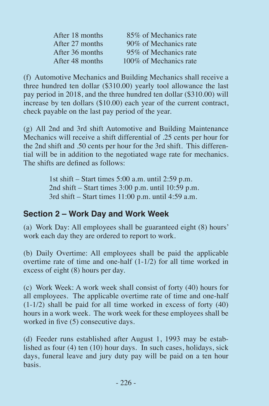| After 18 months | 85% of Mechanics rate   |
|-----------------|-------------------------|
| After 27 months | 90% of Mechanics rate   |
| After 36 months | 95% of Mechanics rate   |
| After 48 months | 100\% of Mechanics rate |

(f) Automotive Mechanics and Building Mechanics shall receive a three hundred ten dollar (\$310.00) yearly tool allowance the last pay period in 2018, and the three hundred ten dollar (\$310.00) will increase by ten dollars (\$10.00) each year of the current contract, check payable on the last pay period of the year.

(g) All 2nd and 3rd shift Automotive and Building Maintenance Mechanics will receive a shift differential of .25 cents per hour for the 2nd shift and .50 cents per hour for the 3rd shift. This differential will be in addition to the negotiated wage rate for mechanics. The shifts are defined as follows:

> 1st shift – Start times 5:00 a.m. until 2:59 p.m. 2nd shift – Start times 3:00 p.m. until 10:59 p.m. 3rd shift – Start times 11:00 p.m. until 4:59 a.m.

### **Section 2 – Work Day and Work Week**

(a) Work Day: All employees shall be guaranteed eight (8) hours' work each day they are ordered to report to work.

(b) Daily Overtime: All employees shall be paid the applicable overtime rate of time and one-half (1-1/2) for all time worked in excess of eight (8) hours per day.

(c) Work Week: A work week shall consist of forty (40) hours for all employees. The applicable overtime rate of time and one-half  $(1-1/2)$  shall be paid for all time worked in excess of forty  $(40)$ hours in a work week. The work week for these employees shall be worked in five (5) consecutive days.

(d) Feeder runs established after August 1, 1993 may be established as four (4) ten (10) hour days. In such cases, holidays, sick days, funeral leave and jury duty pay will be paid on a ten hour basis.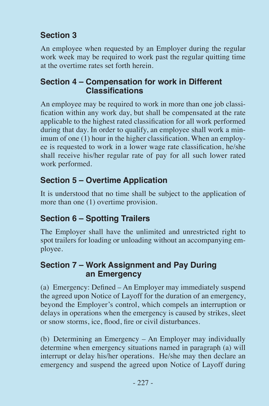### **Section 3**

An employee when requested by an Employer during the regular work week may be required to work past the regular quitting time at the overtime rates set forth herein.

#### **Section 4 – Compensation for work in Different Classifications**

An employee may be required to work in more than one job classification within any work day, but shall be compensated at the rate applicable to the highest rated classification for all work performed during that day. In order to qualify, an employee shall work a minimum of one (1) hour in the higher classification. When an employee is requested to work in a lower wage rate classification, he/she shall receive his/her regular rate of pay for all such lower rated work performed.

### **Section 5 – Overtime Application**

It is understood that no time shall be subject to the application of more than one (1) overtime provision.

### **Section 6 – Spotting Trailers**

The Employer shall have the unlimited and unrestricted right to spot trailers for loading or unloading without an accompanying employee.

#### **Section 7 – Work Assignment and Pay During an Emergency**

(a) Emergency: Defined – An Employer may immediately suspend the agreed upon Notice of Layoff for the duration of an emergency, beyond the Employer's control, which compels an interruption or delays in operations when the emergency is caused by strikes, sleet or snow storms, ice, flood, fire or civil disturbances.

(b) Determining an Emergency – An Employer may individually determine when emergency situations named in paragraph (a) will interrupt or delay his/her operations. He/she may then declare an emergency and suspend the agreed upon Notice of Layoff during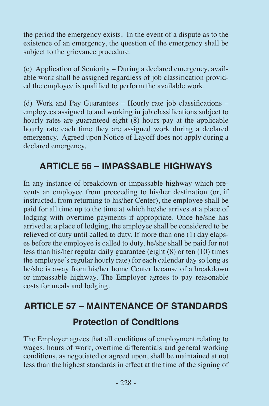the period the emergency exists. In the event of a dispute as to the existence of an emergency, the question of the emergency shall be subject to the grievance procedure.

(c) Application of Seniority – During a declared emergency, available work shall be assigned regardless of job classification provided the employee is qualified to perform the available work.

(d) Work and Pay Guarantees – Hourly rate job classifications – employees assigned to and working in job classifications subject to hourly rates are guaranteed eight (8) hours pay at the applicable hourly rate each time they are assigned work during a declared emergency. Agreed upon Notice of Layoff does not apply during a declared emergency.

### **ARTICLE 56 – IMPASSABLE HIGHWAYS**

In any instance of breakdown or impassable highway which prevents an employee from proceeding to his/her destination (or, if instructed, from returning to his/her Center), the employee shall be paid for all time up to the time at which he/she arrives at a place of lodging with overtime payments if appropriate. Once he/she has arrived at a place of lodging, the employee shall be considered to be relieved of duty until called to duty. If more than one (1) day elapses before the employee is called to duty, he/she shall be paid for not less than his/her regular daily guarantee (eight (8) or ten (10) times the employee's regular hourly rate) for each calendar day so long as he/she is away from his/her home Center because of a breakdown or impassable highway. The Employer agrees to pay reasonable costs for meals and lodging.

## **ARTICLE 57 – MAINTENANCE OF STANDARDS Protection of Conditions**

The Employer agrees that all conditions of employment relating to wages, hours of work, overtime differentials and general working conditions, as negotiated or agreed upon, shall be maintained at not less than the highest standards in effect at the time of the signing of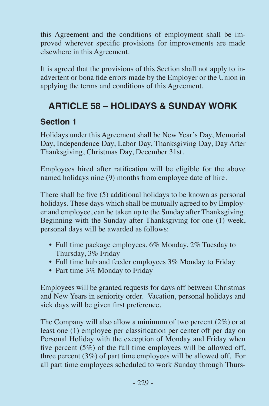this Agreement and the conditions of employment shall be improved wherever specific provisions for improvements are made elsewhere in this Agreement.

It is agreed that the provisions of this Section shall not apply to inadvertent or bona fide errors made by the Employer or the Union in applying the terms and conditions of this Agreement.

### **ARTICLE 58 – HOLIDAYS & SUNDAY WORK**

#### **Section 1**

Holidays under this Agreement shall be New Year's Day, Memorial Day, Independence Day, Labor Day, Thanksgiving Day, Day After Thanksgiving, Christmas Day, December 31st.

Employees hired after ratification will be eligible for the above named holidays nine (9) months from employee date of hire.

There shall be five (5) additional holidays to be known as personal holidays. These days which shall be mutually agreed to by Employer and employee, can be taken up to the Sunday after Thanksgiving. Beginning with the Sunday after Thanksgiving for one (1) week, personal days will be awarded as follows:

- Full time package employees. 6% Monday, 2% Tuesday to Thursday, 3% Friday
- Full time hub and feeder employees 3% Monday to Friday
- Part time 3% Monday to Friday

Employees will be granted requests for days off between Christmas and New Years in seniority order. Vacation, personal holidays and sick days will be given first preference.

The Company will also allow a minimum of two percent (2%) or at least one (1) employee per classification per center off per day on Personal Holiday with the exception of Monday and Friday when five percent  $(5\%)$  of the full time employees will be allowed off, three percent (3%) of part time employees will be allowed off. For all part time employees scheduled to work Sunday through Thurs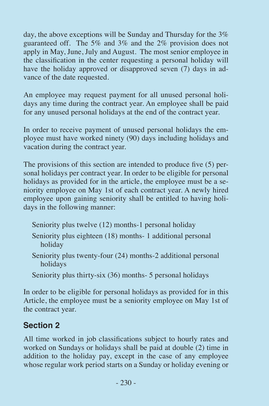day, the above exceptions will be Sunday and Thursday for the 3% guaranteed off. The 5% and 3% and the 2% provision does not apply in May, June, July and August. The most senior employee in the classification in the center requesting a personal holiday will have the holiday approved or disapproved seven (7) days in advance of the date requested.

An employee may request payment for all unused personal holidays any time during the contract year. An employee shall be paid for any unused personal holidays at the end of the contract year.

In order to receive payment of unused personal holidays the employee must have worked ninety (90) days including holidays and vacation during the contract year.

The provisions of this section are intended to produce five (5) personal holidays per contract year. In order to be eligible for personal holidays as provided for in the article, the employee must be a seniority employee on May 1st of each contract year. A newly hired employee upon gaining seniority shall be entitled to having holidays in the following manner:

- Seniority plus twelve (12) months-1 personal holiday
- Seniority plus eighteen (18) months- 1 additional personal holiday
- Seniority plus twenty-four (24) months-2 additional personal holidays
- Seniority plus thirty-six (36) months- 5 personal holidays

In order to be eligible for personal holidays as provided for in this Article, the employee must be a seniority employee on May 1st of the contract year.

### **Section 2**

All time worked in job classifications subject to hourly rates and worked on Sundays or holidays shall be paid at double (2) time in addition to the holiday pay, except in the case of any employee whose regular work period starts on a Sunday or holiday evening or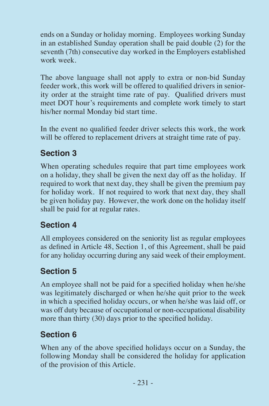ends on a Sunday or holiday morning. Employees working Sunday in an established Sunday operation shall be paid double (2) for the seventh (7th) consecutive day worked in the Employers established work week.

The above language shall not apply to extra or non-bid Sunday feeder work, this work will be offered to qualified drivers in seniority order at the straight time rate of pay. Qualified drivers must meet DOT hour's requirements and complete work timely to start his/her normal Monday bid start time.

In the event no qualified feeder driver selects this work, the work will be offered to replacement drivers at straight time rate of pay.

### **Section 3**

When operating schedules require that part time employees work on a holiday, they shall be given the next day off as the holiday. If required to work that next day, they shall be given the premium pay for holiday work. If not required to work that next day, they shall be given holiday pay. However, the work done on the holiday itself shall be paid for at regular rates.

### **Section 4**

All employees considered on the seniority list as regular employees as defined in Article 48, Section 1, of this Agreement, shall be paid for any holiday occurring during any said week of their employment.

### **Section 5**

An employee shall not be paid for a specified holiday when he/she was legitimately discharged or when he/she quit prior to the week in which a specified holiday occurs, or when he/she was laid off, or was off duty because of occupational or non-occupational disability more than thirty (30) days prior to the specified holiday.

### **Section 6**

When any of the above specified holidays occur on a Sunday, the following Monday shall be considered the holiday for application of the provision of this Article.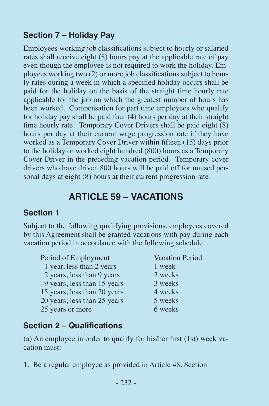### **Section 7 – Holiday Pay**

Employees working job classifications subject to hourly or salaried rates shall receive eight (8) hours pay at the applicable rate of pay even though the employee is not required to work the holiday. Employees working two (2) or more job classifications subject to hourly rates during a week in which a specified holiday occurs shall be paid for the holiday on the basis of the straight time hourly rate applicable for the job on which the greatest number of hours has been worked. Compensation for part time employees who qualify for holiday pay shall be paid four (4) hours per day at their straight time hourly rate. Temporary Cover Drivers shall be paid eight (8) hours per day at their current wage progression rate if they have worked as a Temporary Cover Driver within fifteen (15) days prior to the holiday or worked eight hundred (800) hours as a Temporary Cover Driver in the preceding vacation period. Temporary cover drivers who have driven 800 hours will be paid off for unused personal days at eight (8) hours at their current progression rate.

### **ARTICLE 59 – VACATIONS**

### **Section 1**

Subject to the following qualifying provisions, employees covered by this Agreement shall be granted vacations with pay during each vacation period in accordance with the following schedule.

| Period of Employment         | <b>Vacation Period</b> |
|------------------------------|------------------------|
| 1 year, less than 2 years    | 1 week                 |
| 2 years, less than 9 years   | 2 weeks                |
| 9 years, less than 15 years  | 3 weeks                |
| 15 years, less than 20 years | 4 weeks                |
| 20 years, less than 25 years | 5 weeks                |
| 25 years or more             | 6 weeks                |

### **Section 2 – Qualifications**

(a) An employee in order to qualify for his/her first (1st) week vacation must:

1. Be a regular employee as provided in Article 48, Section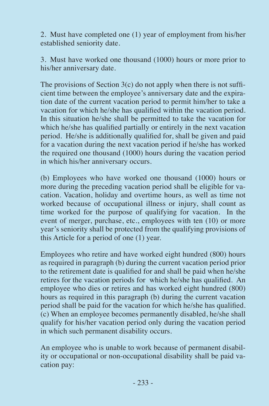2. Must have completed one (1) year of employment from his/her established seniority date.

3. Must have worked one thousand (1000) hours or more prior to his/her anniversary date.

The provisions of Section  $3(c)$  do not apply when there is not sufficient time between the employee's anniversary date and the expiration date of the current vacation period to permit him/her to take a vacation for which he/she has qualified within the vacation period. In this situation he/she shall be permitted to take the vacation for which he/she has qualified partially or entirely in the next vacation period. He/she is additionally qualified for, shall be given and paid for a vacation during the next vacation period if he/she has worked the required one thousand (1000) hours during the vacation period in which his/her anniversary occurs.

(b) Employees who have worked one thousand (1000) hours or more during the preceding vacation period shall be eligible for vacation. Vacation, holiday and overtime hours, as well as time not worked because of occupational illness or injury, shall count as time worked for the purpose of qualifying for vacation. In the event of merger, purchase, etc., employees with ten (10) or more year's seniority shall be protected from the qualifying provisions of this Article for a period of one (1) year.

Employees who retire and have worked eight hundred (800) hours as required in paragraph (b) during the current vacation period prior to the retirement date is qualified for and shall be paid when he/she retires for the vacation periods for which he/she has qualified. An employee who dies or retires and has worked eight hundred (800) hours as required in this paragraph (b) during the current vacation period shall be paid for the vacation for which he/she has qualified. (c) When an employee becomes permanently disabled, he/she shall qualify for his/her vacation period only during the vacation period in which such permanent disability occurs.

An employee who is unable to work because of permanent disability or occupational or non-occupational disability shall be paid vacation pay: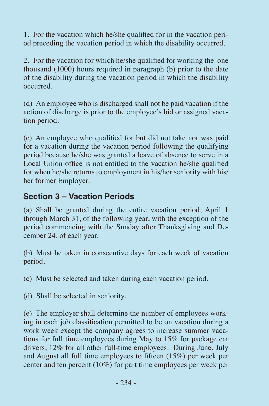1. For the vacation which he/she qualified for in the vacation period preceding the vacation period in which the disability occurred.

2. For the vacation for which he/she qualified for working the one thousand (1000) hours required in paragraph (b) prior to the date of the disability during the vacation period in which the disability occurred.

(d) An employee who is discharged shall not be paid vacation if the action of discharge is prior to the employee's bid or assigned vacation period.

(e) An employee who qualified for but did not take nor was paid for a vacation during the vacation period following the qualifying period because he/she was granted a leave of absence to serve in a Local Union office is not entitled to the vacation he/she qualified for when he/she returns to employment in his/her seniority with his/ her former Employer.

### **Section 3 – Vacation Periods**

(a) Shall be granted during the entire vacation period, April 1 through March 31, of the following year, with the exception of the period commencing with the Sunday after Thanksgiving and December 24, of each year.

(b) Must be taken in consecutive days for each week of vacation period.

(c) Must be selected and taken during each vacation period.

(d) Shall be selected in seniority.

(e) The employer shall determine the number of employees working in each job classification permitted to be on vacation during a work week except the company agrees to increase summer vacations for full time employees during May to 15% for package car drivers, 12% for all other full-time employees. During June, July and August all full time employees to fifteen (15%) per week per center and ten percent (10%) for part time employees per week per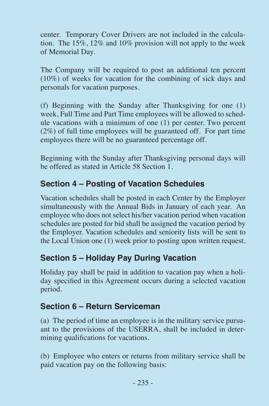center. Temporary Cover Drivers are not included in the calculation. The 15%, 12% and 10% provision will not apply to the week of Memorial Day.

The Company will be required to post an additional ten percent (10%) of weeks for vacation for the combining of sick days and personals for vacation purposes.

(f) Beginning with the Sunday after Thanksgiving for one (1) week, Full Time and Part Time employees will be allowed to schedule vacations with a minimum of one (1) per center. Two percent (2%) of full time employees will be guaranteed off. For part time employees there will be no guaranteed percentage off.

Beginning with the Sunday after Thanksgiving personal days will be offered as stated in Article 58 Section 1.

### **Section 4 – Posting of Vacation Schedules**

Vacation schedules shall be posted in each Center by the Employer simultaneously with the Annual Bids in January of each year. An employee who does not select his/her vacation period when vacation schedules are posted for bid shall be assigned the vacation period by the Employer. Vacation schedules and seniority lists will be sent to the Local Union one (1) week prior to posting upon written request.

### **Section 5 – Holiday Pay During Vacation**

Holiday pay shall be paid in addition to vacation pay when a holiday specified in this Agreement occurs during a selected vacation period.

### **Section 6 – Return Serviceman**

(a) The period of time an employee is in the military service pursuant to the provisions of the USERRA, shall be included in determining qualifications for vacations.

(b) Employee who enters or returns from military service shall be paid vacation pay on the following basis: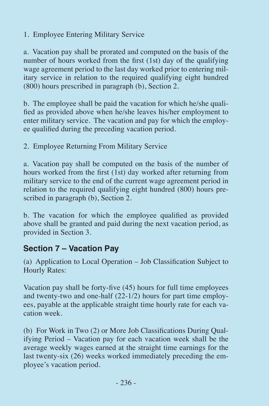1. Employee Entering Military Service

a. Vacation pay shall be prorated and computed on the basis of the number of hours worked from the first (1st) day of the qualifying wage agreement period to the last day worked prior to entering military service in relation to the required qualifying eight hundred (800) hours prescribed in paragraph (b), Section 2.

b. The employee shall be paid the vacation for which he/she qualified as provided above when he/she leaves his/her employment to enter military service. The vacation and pay for which the employee qualified during the preceding vacation period.

2. Employee Returning From Military Service

a. Vacation pay shall be computed on the basis of the number of hours worked from the first (1st) day worked after returning from military service to the end of the current wage agreement period in relation to the required qualifying eight hundred (800) hours prescribed in paragraph (b), Section 2.

b. The vacation for which the employee qualified as provided above shall be granted and paid during the next vacation period, as provided in Section 3.

### **Section 7 – Vacation Pay**

(a) Application to Local Operation – Job Classification Subject to Hourly Rates:

Vacation pay shall be forty-five (45) hours for full time employees and twenty-two and one-half (22-1/2) hours for part time employees, payable at the applicable straight time hourly rate for each vacation week.

(b) For Work in Two (2) or More Job Classifications During Qualifying Period – Vacation pay for each vacation week shall be the average weekly wages earned at the straight time earnings for the last twenty-six (26) weeks worked immediately preceding the employee's vacation period.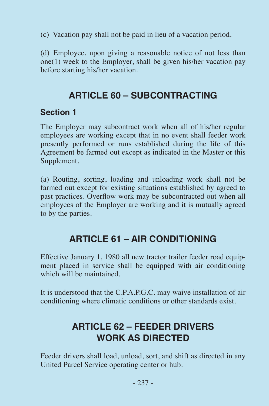(c) Vacation pay shall not be paid in lieu of a vacation period.

(d) Employee, upon giving a reasonable notice of not less than one(1) week to the Employer, shall be given his/her vacation pay before starting his/her vacation.

### **ARTICLE 60 – SUBCONTRACTING**

### **Section 1**

The Employer may subcontract work when all of his/her regular employees are working except that in no event shall feeder work presently performed or runs established during the life of this Agreement be farmed out except as indicated in the Master or this Supplement.

(a) Routing, sorting, loading and unloading work shall not be farmed out except for existing situations established by agreed to past practices. Overflow work may be subcontracted out when all employees of the Employer are working and it is mutually agreed to by the parties.

### **ARTICLE 61 – AIR CONDITIONING**

Effective January 1, 1980 all new tractor trailer feeder road equipment placed in service shall be equipped with air conditioning which will be maintained.

It is understood that the C.P.A.P.G.C. may waive installation of air conditioning where climatic conditions or other standards exist.

### **ARTICLE 62 – FEEDER DRIVERS WORK AS DIRECTED**

Feeder drivers shall load, unload, sort, and shift as directed in any United Parcel Service operating center or hub.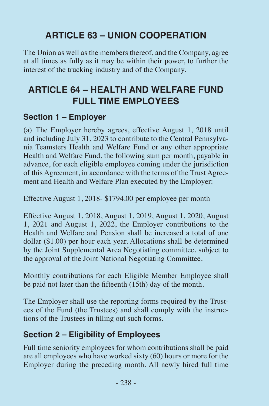### **ARTICLE 63 – UNION COOPERATION**

The Union as well as the members thereof, and the Company, agree at all times as fully as it may be within their power, to further the interest of the trucking industry and of the Company.

### **ARTICLE 64 – HEALTH AND WELFARE FUND FULL TIME EMPLOYEES**

#### **Section 1 – Employer**

(a) The Employer hereby agrees, effective August 1, 2018 until and including July 31, 2023 to contribute to the Central Pennsylvania Teamsters Health and Welfare Fund or any other appropriate Health and Welfare Fund, the following sum per month, payable in advance, for each eligible employee coming under the jurisdiction of this Agreement, in accordance with the terms of the Trust Agreement and Health and Welfare Plan executed by the Employer:

Effective August 1, 2018- \$1794.00 per employee per month

Effective August 1, 2018, August 1, 2019, August 1, 2020, August 1, 2021 and August 1, 2022, the Employer contributions to the Health and Welfare and Pension shall be increased a total of one dollar (\$1.00) per hour each year. Allocations shall be determined by the Joint Supplemental Area Negotiating committee, subject to the approval of the Joint National Negotiating Committee.

Monthly contributions for each Eligible Member Employee shall be paid not later than the fifteenth (15th) day of the month.

The Employer shall use the reporting forms required by the Trustees of the Fund (the Trustees) and shall comply with the instructions of the Trustees in filling out such forms.

### **Section 2 – Eligibility of Employees**

Full time seniority employees for whom contributions shall be paid are all employees who have worked sixty (60) hours or more for the Employer during the preceding month. All newly hired full time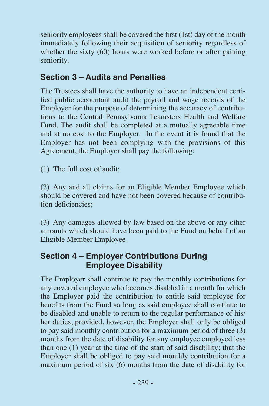seniority employees shall be covered the first (1st) day of the month immediately following their acquisition of seniority regardless of whether the sixty (60) hours were worked before or after gaining seniority.

#### **Section 3 – Audits and Penalties**

The Trustees shall have the authority to have an independent certified public accountant audit the payroll and wage records of the Employer for the purpose of determining the accuracy of contributions to the Central Pennsylvania Teamsters Health and Welfare Fund. The audit shall be completed at a mutually agreeable time and at no cost to the Employer. In the event it is found that the Employer has not been complying with the provisions of this Agreement, the Employer shall pay the following:

(1) The full cost of audit;

(2) Any and all claims for an Eligible Member Employee which should be covered and have not been covered because of contribution deficiencies;

(3) Any damages allowed by law based on the above or any other amounts which should have been paid to the Fund on behalf of an Eligible Member Employee.

#### **Section 4 – Employer Contributions During Employee Disability**

The Employer shall continue to pay the monthly contributions for any covered employee who becomes disabled in a month for which the Employer paid the contribution to entitle said employee for benefits from the Fund so long as said employee shall continue to be disabled and unable to return to the regular performance of his/ her duties, provided, however, the Employer shall only be obliged to pay said monthly contribution for a maximum period of three (3) months from the date of disability for any employee employed less than one (1) year at the time of the start of said disability; that the Employer shall be obliged to pay said monthly contribution for a maximum period of six (6) months from the date of disability for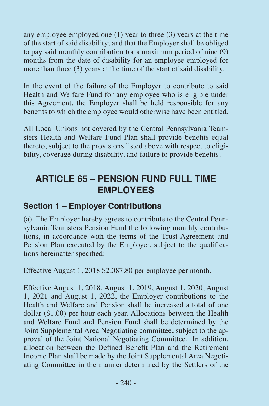any employee employed one (1) year to three (3) years at the time of the start of said disability; and that the Employer shall be obliged to pay said monthly contribution for a maximum period of nine (9) months from the date of disability for an employee employed for more than three (3) years at the time of the start of said disability.

In the event of the failure of the Employer to contribute to said Health and Welfare Fund for any employee who is eligible under this Agreement, the Employer shall be held responsible for any benefits to which the employee would otherwise have been entitled.

All Local Unions not covered by the Central Pennsylvania Teamsters Health and Welfare Fund Plan shall provide benefits equal thereto, subject to the provisions listed above with respect to eligibility, coverage during disability, and failure to provide benefits.

### **ARTICLE 65 – PENSION FUND FULL TIME EMPLOYEES**

#### **Section 1 – Employer Contributions**

(a) The Employer hereby agrees to contribute to the Central Pennsylvania Teamsters Pension Fund the following monthly contributions, in accordance with the terms of the Trust Agreement and Pension Plan executed by the Employer, subject to the qualifications hereinafter specified:

Effective August 1, 2018 \$2,087.80 per employee per month.

Effective August 1, 2018, August 1, 2019, August 1, 2020, August 1, 2021 and August 1, 2022, the Employer contributions to the Health and Welfare and Pension shall be increased a total of one dollar (\$1.00) per hour each year. Allocations between the Health and Welfare Fund and Pension Fund shall be determined by the Joint Supplemental Area Negotiating committee, subject to the approval of the Joint National Negotiating Committee. In addition, allocation between the Defined Benefit Plan and the Retirement Income Plan shall be made by the Joint Supplemental Area Negotiating Committee in the manner determined by the Settlers of the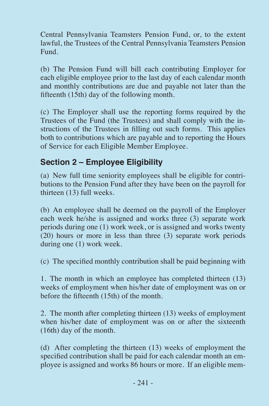Central Pennsylvania Teamsters Pension Fund, or, to the extent lawful, the Trustees of the Central Pennsylvania Teamsters Pension Fund.

(b) The Pension Fund will bill each contributing Employer for each eligible employee prior to the last day of each calendar month and monthly contributions are due and payable not later than the fifteenth (15th) day of the following month.

(c) The Employer shall use the reporting forms required by the Trustees of the Fund (the Trustees) and shall comply with the instructions of the Trustees in filling out such forms. This applies both to contributions which are payable and to reporting the Hours of Service for each Eligible Member Employee.

### **Section 2 – Employee Eligibility**

(a) New full time seniority employees shall be eligible for contributions to the Pension Fund after they have been on the payroll for thirteen (13) full weeks.

(b) An employee shall be deemed on the payroll of the Employer each week he/she is assigned and works three (3) separate work periods during one (1) work week, or is assigned and works twenty (20) hours or more in less than three (3) separate work periods during one (1) work week.

(c) The specified monthly contribution shall be paid beginning with

1. The month in which an employee has completed thirteen (13) weeks of employment when his/her date of employment was on or before the fifteenth (15th) of the month.

2. The month after completing thirteen (13) weeks of employment when his/her date of employment was on or after the sixteenth (16th) day of the month.

(d) After completing the thirteen (13) weeks of employment the specified contribution shall be paid for each calendar month an employee is assigned and works 86 hours or more. If an eligible mem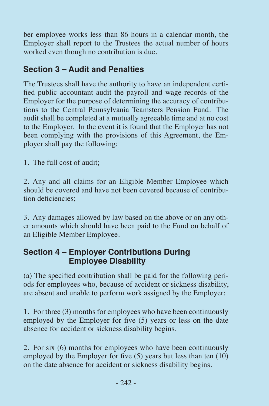ber employee works less than 86 hours in a calendar month, the Employer shall report to the Trustees the actual number of hours worked even though no contribution is due.

### **Section 3 – Audit and Penalties**

The Trustees shall have the authority to have an independent certified public accountant audit the payroll and wage records of the Employer for the purpose of determining the accuracy of contributions to the Central Pennsylvania Teamsters Pension Fund. The audit shall be completed at a mutually agreeable time and at no cost to the Employer. In the event it is found that the Employer has not been complying with the provisions of this Agreement, the Employer shall pay the following:

1. The full cost of audit;

2. Any and all claims for an Eligible Member Employee which should be covered and have not been covered because of contribution deficiencies;

3. Any damages allowed by law based on the above or on any other amounts which should have been paid to the Fund on behalf of an Eligible Member Employee.

### **Section 4 – Employer Contributions During Employee Disability**

(a) The specified contribution shall be paid for the following periods for employees who, because of accident or sickness disability, are absent and unable to perform work assigned by the Employer:

1. For three (3) months for employees who have been continuously employed by the Employer for five (5) years or less on the date absence for accident or sickness disability begins.

2. For six (6) months for employees who have been continuously employed by the Employer for five (5) years but less than ten (10) on the date absence for accident or sickness disability begins.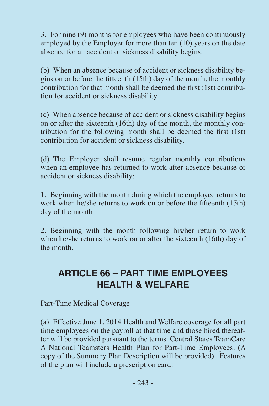3. For nine (9) months for employees who have been continuously employed by the Employer for more than ten (10) years on the date absence for an accident or sickness disability begins.

(b) When an absence because of accident or sickness disability begins on or before the fifteenth (15th) day of the month, the monthly contribution for that month shall be deemed the first (1st) contribution for accident or sickness disability.

(c) When absence because of accident or sickness disability begins on or after the sixteenth (16th) day of the month, the monthly contribution for the following month shall be deemed the first (1st) contribution for accident or sickness disability.

(d) The Employer shall resume regular monthly contributions when an employee has returned to work after absence because of accident or sickness disability:

1. Beginning with the month during which the employee returns to work when he/she returns to work on or before the fifteenth (15th) day of the month.

2. Beginning with the month following his/her return to work when he/she returns to work on or after the sixteenth (16th) day of the month.

### **ARTICLE 66 – PART TIME EMPLOYEES HEALTH & WELFARE**

Part-Time Medical Coverage

(a) Effective June 1, 2014 Health and Welfare coverage for all part time employees on the payroll at that time and those hired thereafter will be provided pursuant to the terms Central States TeamCare A National Teamsters Health Plan for Part-Time Employees. (A copy of the Summary Plan Description will be provided). Features of the plan will include a prescription card.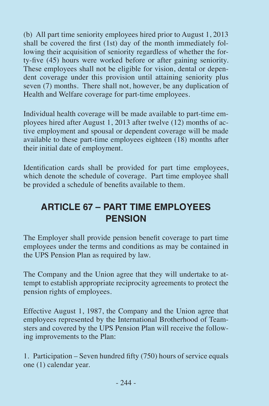(b) All part time seniority employees hired prior to August 1, 2013 shall be covered the first (1st) day of the month immediately following their acquisition of seniority regardless of whether the forty-five (45) hours were worked before or after gaining seniority. These employees shall not be eligible for vision, dental or dependent coverage under this provision until attaining seniority plus seven (7) months. There shall not, however, be any duplication of Health and Welfare coverage for part-time employees.

Individual health coverage will be made available to part-time employees hired after August 1, 2013 after twelve (12) months of active employment and spousal or dependent coverage will be made available to these part-time employees eighteen (18) months after their initial date of employment.

Identification cards shall be provided for part time employees, which denote the schedule of coverage. Part time employee shall be provided a schedule of benefits available to them.

### **ARTICLE 67 – PART TIME EMPLOYEES PENSION**

The Employer shall provide pension benefit coverage to part time employees under the terms and conditions as may be contained in the UPS Pension Plan as required by law.

The Company and the Union agree that they will undertake to attempt to establish appropriate reciprocity agreements to protect the pension rights of employees.

Effective August 1, 1987, the Company and the Union agree that employees represented by the International Brotherhood of Teamsters and covered by the UPS Pension Plan will receive the following improvements to the Plan:

1. Participation – Seven hundred fifty (750) hours of service equals one (1) calendar year.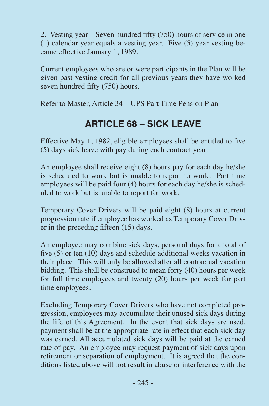2. Vesting year – Seven hundred fifty (750) hours of service in one (1) calendar year equals a vesting year. Five (5) year vesting became effective January 1, 1989.

Current employees who are or were participants in the Plan will be given past vesting credit for all previous years they have worked seven hundred fifty (750) hours.

Refer to Master, Article 34 – UPS Part Time Pension Plan

### **ARTICLE 68 – SICK LEAVE**

Effective May 1, 1982, eligible employees shall be entitled to five (5) days sick leave with pay during each contract year.

An employee shall receive eight (8) hours pay for each day he/she is scheduled to work but is unable to report to work. Part time employees will be paid four (4) hours for each day he/she is scheduled to work but is unable to report for work.

Temporary Cover Drivers will be paid eight (8) hours at current progression rate if employee has worked as Temporary Cover Driver in the preceding fifteen (15) days.

An employee may combine sick days, personal days for a total of five (5) or ten (10) days and schedule additional weeks vacation in their place. This will only be allowed after all contractual vacation bidding. This shall be construed to mean forty (40) hours per week for full time employees and twenty (20) hours per week for part time employees.

Excluding Temporary Cover Drivers who have not completed progression, employees may accumulate their unused sick days during the life of this Agreement. In the event that sick days are used, payment shall be at the appropriate rate in effect that each sick day was earned. All accumulated sick days will be paid at the earned rate of pay. An employee may request payment of sick days upon retirement or separation of employment. It is agreed that the conditions listed above will not result in abuse or interference with the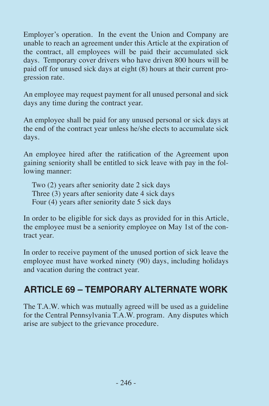Employer's operation. In the event the Union and Company are unable to reach an agreement under this Article at the expiration of the contract, all employees will be paid their accumulated sick days. Temporary cover drivers who have driven 800 hours will be paid off for unused sick days at eight (8) hours at their current progression rate.

An employee may request payment for all unused personal and sick days any time during the contract year.

An employee shall be paid for any unused personal or sick days at the end of the contract year unless he/she elects to accumulate sick days.

An employee hired after the ratification of the Agreement upon gaining seniority shall be entitled to sick leave with pay in the following manner:

Two (2) years after seniority date 2 sick days Three (3) years after seniority date 4 sick days Four (4) years after seniority date 5 sick days

In order to be eligible for sick days as provided for in this Article, the employee must be a seniority employee on May 1st of the contract year.

In order to receive payment of the unused portion of sick leave the employee must have worked ninety (90) days, including holidays and vacation during the contract year.

### **ARTICLE 69 – TEMPORARY ALTERNATE WORK**

The T.A.W. which was mutually agreed will be used as a guideline for the Central Pennsylvania T.A.W. program. Any disputes which arise are subject to the grievance procedure.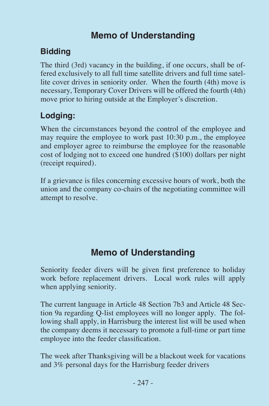### **Memo of Understanding**

### **Bidding**

The third (3rd) vacancy in the building, if one occurs, shall be offered exclusively to all full time satellite drivers and full time satellite cover drives in seniority order. When the fourth (4th) move is necessary, Temporary Cover Drivers will be offered the fourth (4th) move prior to hiring outside at the Employer's discretion.

### **Lodging:**

When the circumstances beyond the control of the employee and may require the employee to work past 10:30 p.m., the employee and employer agree to reimburse the employee for the reasonable cost of lodging not to exceed one hundred (\$100) dollars per night (receipt required).

If a grievance is files concerning excessive hours of work, both the union and the company co-chairs of the negotiating committee will attempt to resolve.

### **Memo of Understanding**

Seniority feeder divers will be given first preference to holiday work before replacement drivers. Local work rules will apply when applying seniority.

The current language in Article 48 Section 7b3 and Article 48 Section 9a regarding Q-list employees will no longer apply. The following shall apply, in Harrisburg the interest list will be used when the company deems it necessary to promote a full-time or part time employee into the feeder classification.

The week after Thanksgiving will be a blackout week for vacations and 3% personal days for the Harrisburg feeder drivers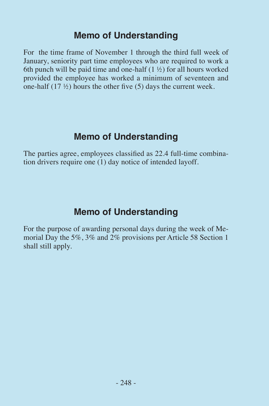### **Memo of Understanding**

For the time frame of November 1 through the third full week of January, seniority part time employees who are required to work a 6th punch will be paid time and one-half  $(1 \frac{1}{2})$  for all hours worked provided the employee has worked a minimum of seventeen and one-half (17 ½) hours the other five (5) days the current week.

### **Memo of Understanding**

The parties agree, employees classified as 22.4 full-time combination drivers require one (1) day notice of intended layoff.

### **Memo of Understanding**

For the purpose of awarding personal days during the week of Memorial Day the 5%, 3% and 2% provisions per Article 58 Section 1 shall still apply.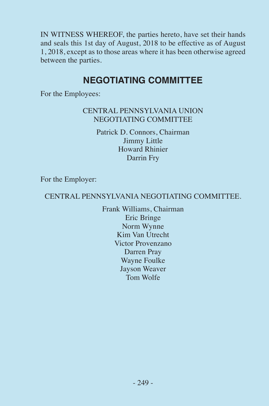IN WITNESS WHEREOF, the parties hereto, have set their hands and seals this 1st day of August, 2018 to be effective as of August 1, 2018, except as to those areas where it has been otherwise agreed between the parties.

### **NEGOTIATING COMMITTEE**

For the Employees:

#### CENTRAL PENNSYLVANIA UNION NEGOTIATING COMMITTEE

Patrick D. Connors, Chairman Jimmy Little Howard Rhinier Darrin Fry

For the Employer:

#### CENTRAL PENNSYLVANIA NEGOTIATING COMMITTEE.

Frank Williams, Chairman Eric Bringe Norm Wynne Kim Van Utrecht Victor Provenzano Darren Pray Wayne Foulke Jayson Weaver Tom Wolfe